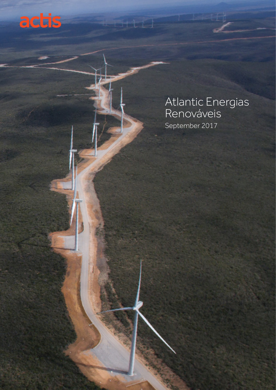

# Atlantic Energias Renováveis September 2017